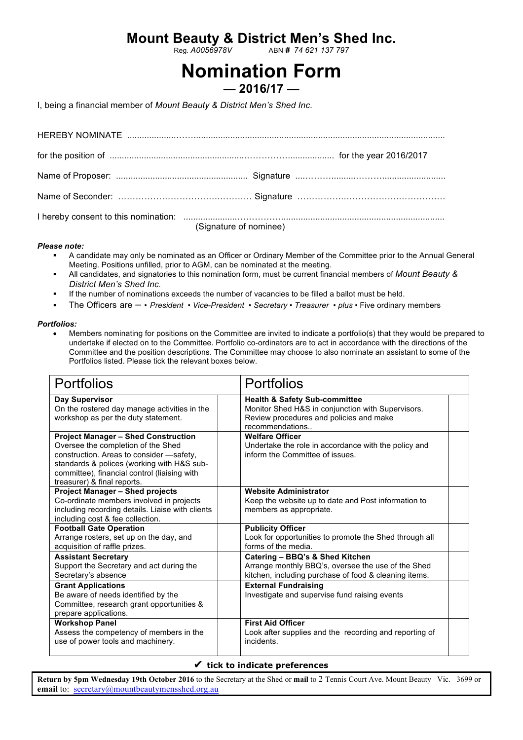## **Mount Beauty & District Men's Shed Inc.**<br>ABN # 74 621 137 797

Reg. *A0056978V* ABN *# 74 621 137 797*

# **Nomination Form**

**— 2016/17 —**

I, being a financial member of *Mount Beauty & District Men's Shed Inc*.

| (Signature of nominee) |
|------------------------|

#### *Please note:*

- § A candidate may only be nominated as an Officer or Ordinary Member of the Committee prior to the Annual General Meeting. Positions unfilled, prior to AGM, can be nominated at the meeting.
- § All candidates, and signatories to this nomination form, must be current financial members of *Mount Beauty & District Men's Shed Inc.*
- If the number of nominations exceeds the number of vacancies to be filled a ballot must be held.
- § The Officers are • *President • Vice-President Secretary Treasurer plus*  Five ordinary members

#### *Portfolios:*

• Members nominating for positions on the Committee are invited to indicate a portfolio(s) that they would be prepared to undertake if elected on to the Committee. Portfolio co-ordinators are to act in accordance with the directions of the Committee and the position descriptions. The Committee may choose to also nominate an assistant to some of the Portfolios listed. Please tick the relevant boxes below.

| <b>Portfolios</b>                                                                                                                                                                                                                                         | <b>Portfolios</b>                                                                                                                                           |
|-----------------------------------------------------------------------------------------------------------------------------------------------------------------------------------------------------------------------------------------------------------|-------------------------------------------------------------------------------------------------------------------------------------------------------------|
| Day Supervisor<br>On the rostered day manage activities in the<br>workshop as per the duty statement.                                                                                                                                                     | <b>Health &amp; Safety Sub-committee</b><br>Monitor Shed H&S in conjunction with Supervisors.<br>Review procedures and policies and make<br>recommendations |
| <b>Project Manager - Shed Construction</b><br>Oversee the completion of the Shed<br>construction. Areas to consider -safety,<br>standards & polices (working with H&S sub-<br>committee), financial control (liaising with<br>treasurer) & final reports. | <b>Welfare Officer</b><br>Undertake the role in accordance with the policy and<br>inform the Committee of issues.                                           |
| <b>Project Manager - Shed projects</b><br>Co-ordinate members involved in projects<br>including recording details. Liaise with clients<br>including cost & fee collection.                                                                                | <b>Website Administrator</b><br>Keep the website up to date and Post information to<br>members as appropriate.                                              |
| <b>Football Gate Operation</b><br>Arrange rosters, set up on the day, and<br>acquisition of raffle prizes.                                                                                                                                                | <b>Publicity Officer</b><br>Look for opportunities to promote the Shed through all<br>forms of the media.                                                   |
| <b>Assistant Secretary</b><br>Support the Secretary and act during the<br>Secretary's absence                                                                                                                                                             | Catering - BBQ's & Shed Kitchen<br>Arrange monthly BBQ's, oversee the use of the Shed<br>kitchen, including purchase of food & cleaning items.              |
| <b>Grant Applications</b><br>Be aware of needs identified by the<br>Committee, research grant opportunities &<br>prepare applications.                                                                                                                    | <b>External Fundraising</b><br>Investigate and supervise fund raising events                                                                                |
| <b>Workshop Panel</b><br>Assess the competency of members in the<br>use of power tools and machinery.                                                                                                                                                     | <b>First Aid Officer</b><br>Look after supplies and the recording and reporting of<br>incidents.                                                            |

#### ✔ **tick to indicate preferences**

**Return by 5pm Wednesday 19th October 2016** to the Secretary at the Shed or **mail** to 2 Tennis Court Ave. Mount Beauty Vic. 3699 or **email** to: secretary@mountbeautymensshed.org.au